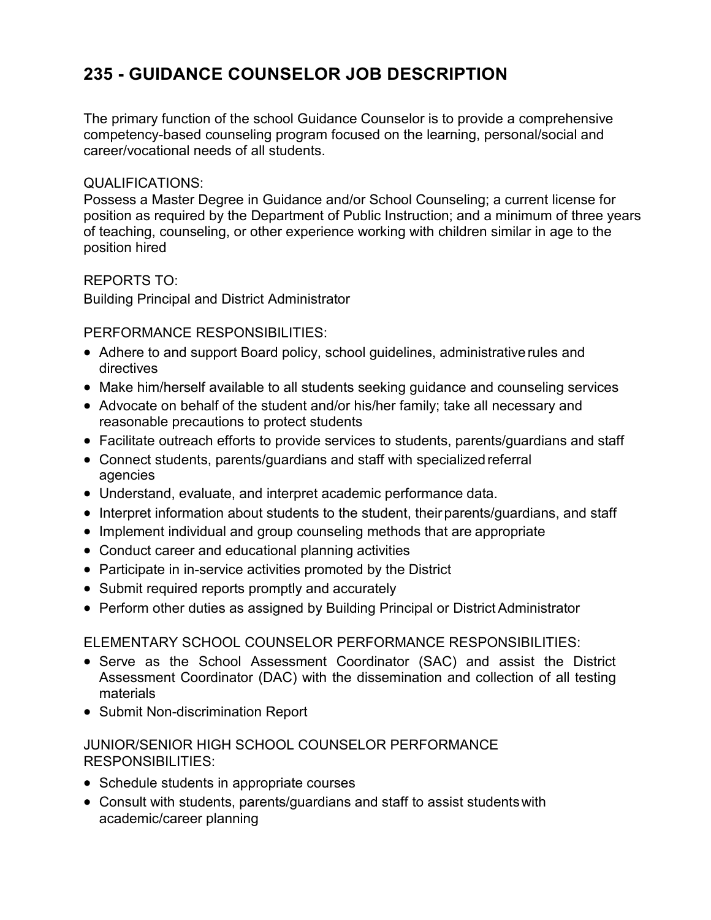## **235 - GUIDANCE COUNSELOR JOB DESCRIPTION**

The primary function of the school Guidance Counselor is to provide a comprehensive competency-based counseling program focused on the learning, personal/social and career/vocational needs of all students.

## QUALIFICATIONS:

Possess a Master Degree in Guidance and/or School Counseling; a current license for position as required by the Department of Public Instruction; and a minimum of three years of teaching, counseling, or other experience working with children similar in age to the position hired

REPORTS TO:

Building Principal and District Administrator

PERFORMANCE RESPONSIBILITIES:

- Adhere to and support Board policy, school guidelines, administrativerules and directives
- Make him/herself available to all students seeking guidance and counseling services
- Advocate on behalf of the student and/or his/her family; take all necessary and reasonable precautions to protect students
- Facilitate outreach efforts to provide services to students, parents/guardians and staff
- Connect students, parents/guardians and staff with specialized referral agencies
- Understand, evaluate, and interpret academic performance data.
- Interpret information about students to the student, their parents/guardians, and staff
- Implement individual and group counseling methods that are appropriate
- Conduct career and educational planning activities
- Participate in in-service activities promoted by the District
- Submit required reports promptly and accurately
- Perform other duties as assigned by Building Principal or District Administrator

ELEMENTARY SCHOOL COUNSELOR PERFORMANCE RESPONSIBILITIES:

- Serve as the School Assessment Coordinator (SAC) and assist the District Assessment Coordinator (DAC) with the dissemination and collection of all testing materials
- Submit Non-discrimination Report

## JUNIOR/SENIOR HIGH SCHOOL COUNSELOR PERFORMANCE RESPONSIBILITIES:

- Schedule students in appropriate courses
- Consult with students, parents/guardians and staff to assist studentswith academic/career planning